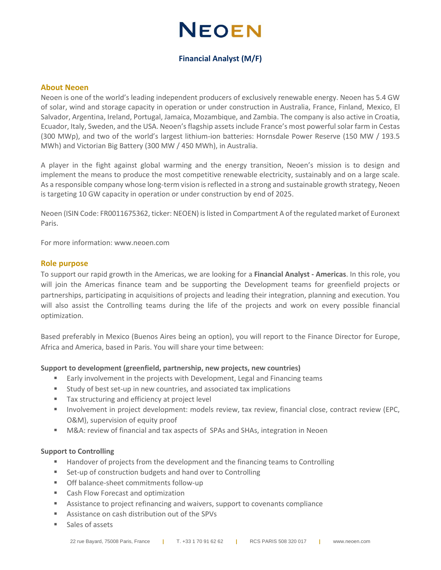## **NEOEN**

## **Financial Analyst (M/F)**

#### **About Neoen**

Neoen is one of the world's leading independent producers of exclusively renewable energy. Neoen has 5.4 GW of solar, wind and storage capacity in operation or under construction in Australia, France, Finland, Mexico, El Salvador, Argentina, Ireland, Portugal, Jamaica, Mozambique, and Zambia. The company is also active in Croatia, Ecuador, Italy, Sweden, and the USA. Neoen's flagship assets include France's most powerful solar farm in Cestas (300 MWp), and two of the world's largest lithium-ion batteries: Hornsdale Power Reserve (150 MW / 193.5 MWh) and Victorian Big Battery (300 MW / 450 MWh), in Australia.

A player in the fight against global warming and the energy transition, Neoen's mission is to design and implement the means to produce the most competitive renewable electricity, sustainably and on a large scale. As a responsible company whose long-term vision is reflected in a strong and sustainable growth strategy, Neoen is targeting 10 GW capacity in operation or under construction by end of 2025.

Neoen (ISIN Code: FR0011675362, ticker: NEOEN) is listed in Compartment A of the regulated market of Euronext Paris.

For more information: [www.neoen.com](http://www.neoen.com/)

#### **Role purpose**

To support our rapid growth in the Americas, we are looking for a **Financial Analyst - Americas**. In this role, you will join the Americas finance team and be supporting the Development teams for greenfield projects or partnerships, participating in acquisitions of projects and leading their integration, planning and execution. You will also assist the Controlling teams during the life of the projects and work on every possible financial optimization.

Based preferably in Mexico (Buenos Aires being an option), you will report to the Finance Director for Europe, Africa and America, based in Paris. You will share your time between:

#### **Support to development (greenfield, partnership, new projects, new countries)**

- Early involvement in the projects with Development, Legal and Financing teams
- Study of best set-up in new countries, and associated tax implications
- Tax structuring and efficiency at project level
- **■** Involvement in project development: models review, tax review, financial close, contract review (EPC, O&M), supervision of equity proof
- M&A: review of financial and tax aspects of SPAs and SHAs, integration in Neoen

#### **Support to Controlling**

- Handover of projects from the development and the financing teams to Controlling
- Set-up of construction budgets and hand over to Controlling
- Off balance-sheet commitments follow-up
- Cash Flow Forecast and optimization
- Assistance to project refinancing and waivers, support to covenants compliance
- Assistance on cash distribution out of the SPVs
- Sales of assets